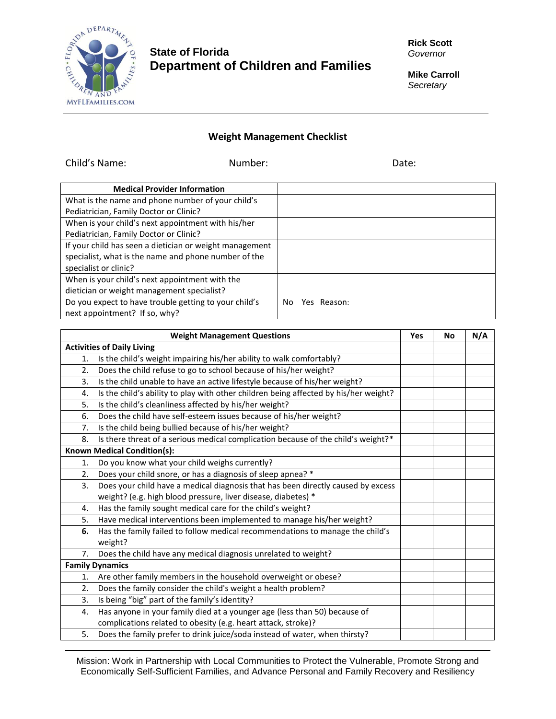

## **State of Florida Department of Children and Families**

**Rick Scott** *Governor*

**Mike Carroll** *Secretary*

## **Weight Management Checklist**

Child's Name: Number: Date: **Medical Provider Information** What is the name and phone number of your child's Pediatrician, Family Doctor or Clinic? When is your child's next appointment with his/her Pediatrician, Family Doctor or Clinic? If your child has seen a dietician or weight management specialist, what is the name and phone number of the specialist or clinic? When is your child's next appointment with the dietician or weight management specialist? Do you expect to have trouble getting to your child's next appointment? If so, why? No Yes Reason:

|                                    | <b>Weight Management Questions</b>                                                   | Yes | <b>No</b> | N/A |
|------------------------------------|--------------------------------------------------------------------------------------|-----|-----------|-----|
|                                    | <b>Activities of Daily Living</b>                                                    |     |           |     |
| 1.                                 | Is the child's weight impairing his/her ability to walk comfortably?                 |     |           |     |
| 2.                                 | Does the child refuse to go to school because of his/her weight?                     |     |           |     |
| 3.                                 | Is the child unable to have an active lifestyle because of his/her weight?           |     |           |     |
| 4.                                 | Is the child's ability to play with other children being affected by his/her weight? |     |           |     |
| 5.                                 | Is the child's cleanliness affected by his/her weight?                               |     |           |     |
| 6.                                 | Does the child have self-esteem issues because of his/her weight?                    |     |           |     |
| 7.                                 | Is the child being bullied because of his/her weight?                                |     |           |     |
| 8.                                 | Is there threat of a serious medical complication because of the child's weight?*    |     |           |     |
| <b>Known Medical Condition(s):</b> |                                                                                      |     |           |     |
| 1.                                 | Do you know what your child weighs currently?                                        |     |           |     |
| 2.                                 | Does your child snore, or has a diagnosis of sleep apnea? *                          |     |           |     |
| 3.                                 | Does your child have a medical diagnosis that has been directly caused by excess     |     |           |     |
|                                    | weight? (e.g. high blood pressure, liver disease, diabetes) *                        |     |           |     |
| 4.                                 | Has the family sought medical care for the child's weight?                           |     |           |     |
| 5.                                 | Have medical interventions been implemented to manage his/her weight?                |     |           |     |
| 6.                                 | Has the family failed to follow medical recommendations to manage the child's        |     |           |     |
|                                    | weight?                                                                              |     |           |     |
| 7.                                 | Does the child have any medical diagnosis unrelated to weight?                       |     |           |     |
|                                    | <b>Family Dynamics</b>                                                               |     |           |     |
| 1.                                 | Are other family members in the household overweight or obese?                       |     |           |     |
| 2.                                 | Does the family consider the child's weight a health problem?                        |     |           |     |
| 3.                                 | Is being "big" part of the family's identity?                                        |     |           |     |
| 4.                                 | Has anyone in your family died at a younger age (less than 50) because of            |     |           |     |
|                                    | complications related to obesity (e.g. heart attack, stroke)?                        |     |           |     |
| 5.                                 | Does the family prefer to drink juice/soda instead of water, when thirsty?           |     |           |     |

Mission: Work in Partnership with Local Communities to Protect the Vulnerable, Promote Strong and Economically Self-Sufficient Families, and Advance Personal and Family Recovery and Resiliency